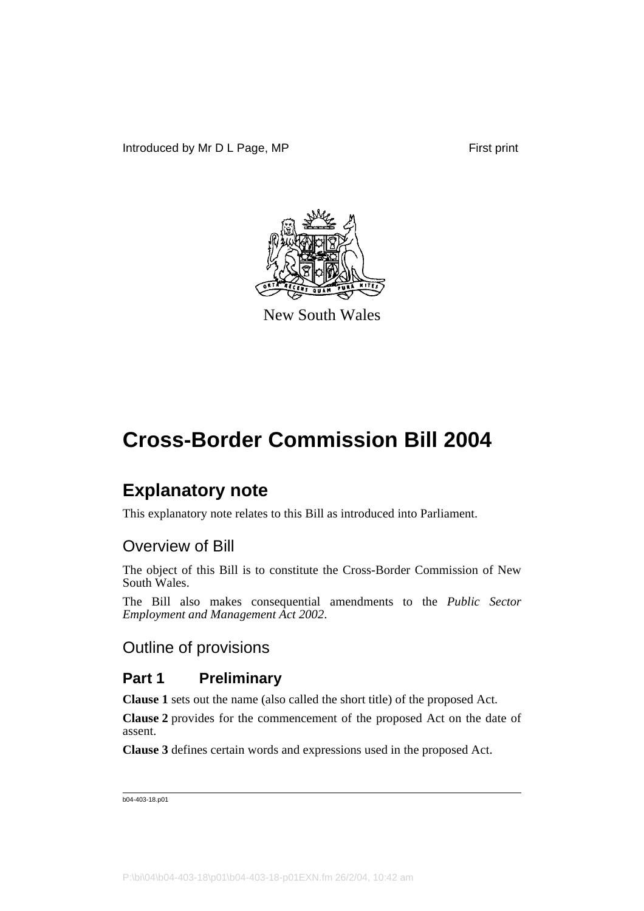

New South Wales

## **Explanatory note**

This explanatory note relates to this Bill as introduced into Parliament.

## Overview of Bill

The object of this Bill is to constitute the Cross-Border Commission of New South Wales.

The Bill also makes consequential amendments to the *Public Sector Employment and Management Act 2002*.

## Outline of provisions

## **Part 1 Preliminary**

**Clause 1** sets out the name (also called the short title) of the proposed Act.

**Clause 2** provides for the commencement of the proposed Act on the date of assent.

**Clause 3** defines certain words and expressions used in the proposed Act.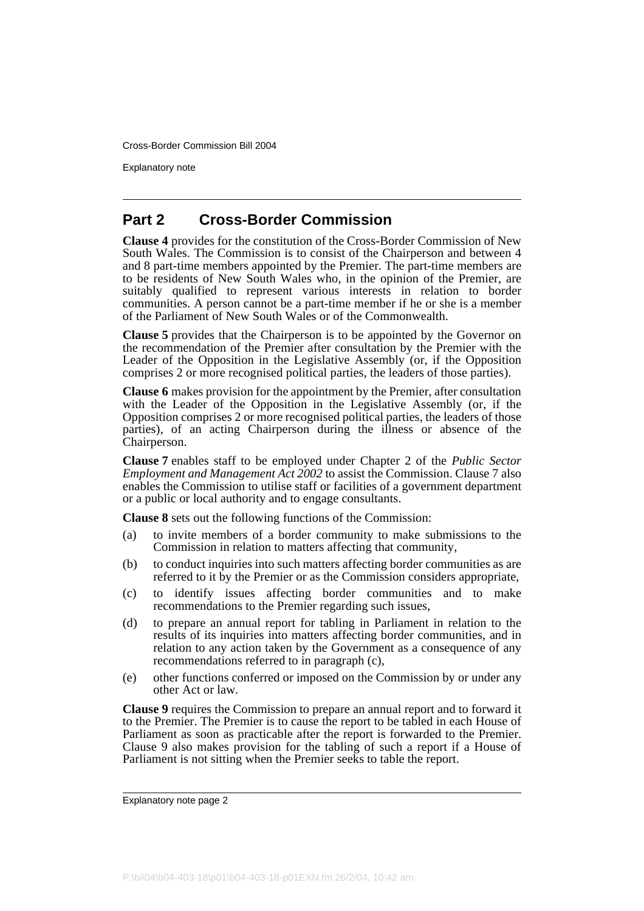Explanatory note

## **Part 2 Cross-Border Commission**

**Clause 4** provides for the constitution of the Cross-Border Commission of New South Wales. The Commission is to consist of the Chairperson and between 4 and 8 part-time members appointed by the Premier. The part-time members are to be residents of New South Wales who, in the opinion of the Premier, are suitably qualified to represent various interests in relation to border communities. A person cannot be a part-time member if he or she is a member of the Parliament of New South Wales or of the Commonwealth.

**Clause 5** provides that the Chairperson is to be appointed by the Governor on the recommendation of the Premier after consultation by the Premier with the Leader of the Opposition in the Legislative Assembly (or, if the Opposition comprises 2 or more recognised political parties, the leaders of those parties).

**Clause 6** makes provision for the appointment by the Premier, after consultation with the Leader of the Opposition in the Legislative Assembly (or, if the Opposition comprises 2 or more recognised political parties, the leaders of those parties), of an acting Chairperson during the illness or absence of the Chairperson.

**Clause 7** enables staff to be employed under Chapter 2 of the *Public Sector Employment and Management Act 2002* to assist the Commission. Clause 7 also enables the Commission to utilise staff or facilities of a government department or a public or local authority and to engage consultants.

**Clause 8** sets out the following functions of the Commission:

- (a) to invite members of a border community to make submissions to the Commission in relation to matters affecting that community,
- (b) to conduct inquiries into such matters affecting border communities as are referred to it by the Premier or as the Commission considers appropriate,
- (c) to identify issues affecting border communities and to make recommendations to the Premier regarding such issues,
- (d) to prepare an annual report for tabling in Parliament in relation to the results of its inquiries into matters affecting border communities, and in relation to any action taken by the Government as a consequence of any recommendations referred to in paragraph (c),
- (e) other functions conferred or imposed on the Commission by or under any other Act or law.

**Clause 9** requires the Commission to prepare an annual report and to forward it to the Premier. The Premier is to cause the report to be tabled in each House of Parliament as soon as practicable after the report is forwarded to the Premier. Clause 9 also makes provision for the tabling of such a report if a House of Parliament is not sitting when the Premier seeks to table the report.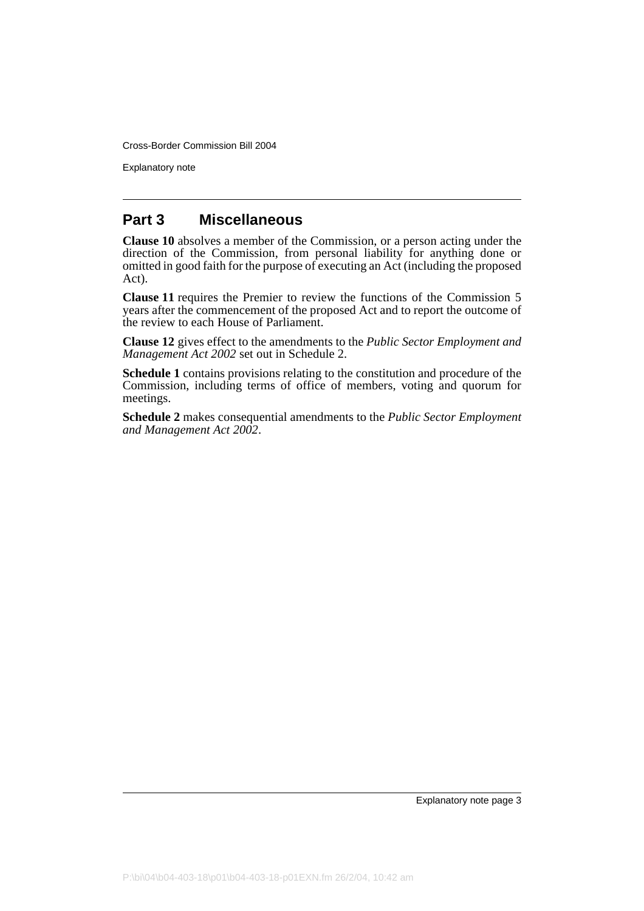Explanatory note

## **Part 3 Miscellaneous**

**Clause 10** absolves a member of the Commission, or a person acting under the direction of the Commission, from personal liability for anything done or omitted in good faith for the purpose of executing an Act (including the proposed Act).

**Clause 11** requires the Premier to review the functions of the Commission 5 years after the commencement of the proposed Act and to report the outcome of the review to each House of Parliament.

**Clause 12** gives effect to the amendments to the *Public Sector Employment and Management Act 2002* set out in Schedule 2.

**Schedule 1** contains provisions relating to the constitution and procedure of the Commission, including terms of office of members, voting and quorum for meetings.

**Schedule 2** makes consequential amendments to the *Public Sector Employment and Management Act 2002*.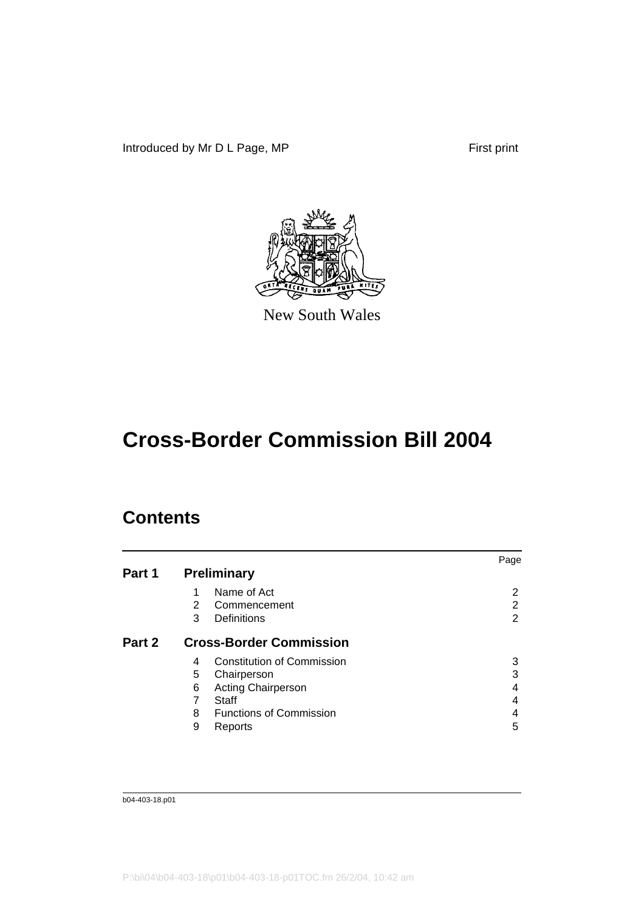Introduced by Mr D L Page, MP First print



New South Wales

# **Cross-Border Commission Bill 2004**

## **Contents**

|        |   |                                   | Page           |
|--------|---|-----------------------------------|----------------|
| Part 1 |   | <b>Preliminary</b>                |                |
|        | 1 | Name of Act                       | 2              |
|        | 2 | Commencement                      | $\overline{2}$ |
|        | 3 | Definitions                       | $\overline{2}$ |
| Part 2 |   | <b>Cross-Border Commission</b>    |                |
|        | 4 | <b>Constitution of Commission</b> | 3              |
|        | 5 | Chairperson                       | 3              |
|        | 6 | <b>Acting Chairperson</b>         | 4              |
|        | 7 | Staff                             | 4              |
|        | 8 | <b>Functions of Commission</b>    | 4              |
|        | 9 | Reports                           | 5              |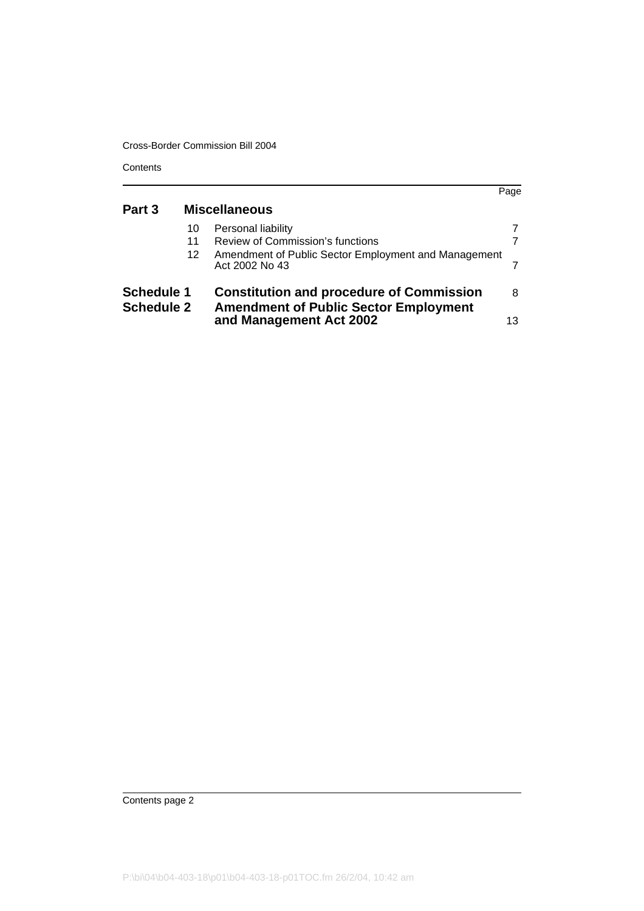**Contents** 

|                                        |         |                                                                                                 | Page |
|----------------------------------------|---------|-------------------------------------------------------------------------------------------------|------|
| Part 3                                 |         | <b>Miscellaneous</b>                                                                            |      |
|                                        | 10      | Personal liability                                                                              |      |
|                                        | 11      | Review of Commission's functions                                                                |      |
|                                        | $12 \,$ | Amendment of Public Sector Employment and Management<br>Act 2002 No 43                          |      |
| <b>Schedule 1</b><br><b>Schedule 2</b> |         | <b>Constitution and procedure of Commission</b><br><b>Amendment of Public Sector Employment</b> | 8    |
|                                        |         | and Management Act 2002                                                                         | 13   |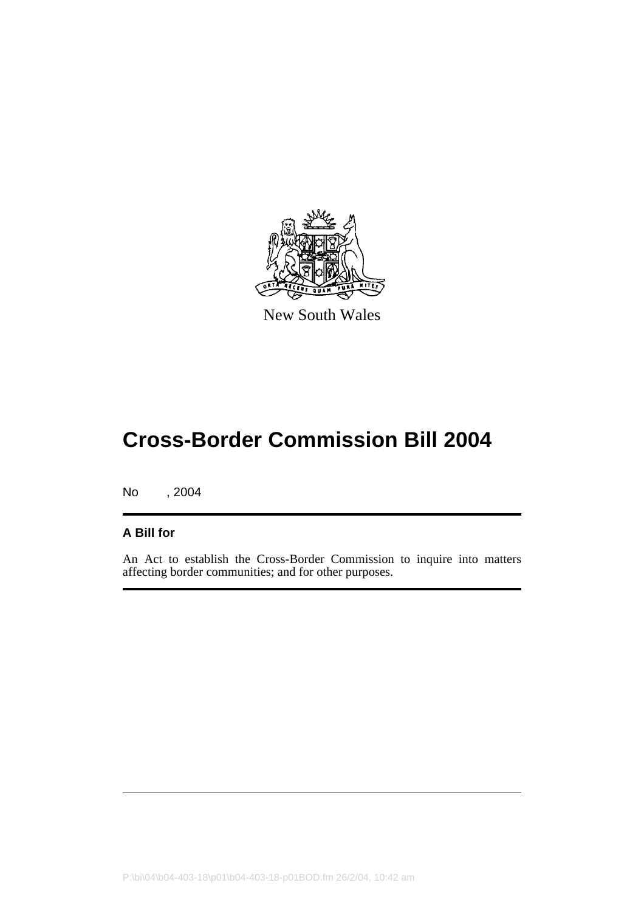

New South Wales

No , 2004

### **A Bill for**

An Act to establish the Cross-Border Commission to inquire into matters affecting border communities; and for other purposes.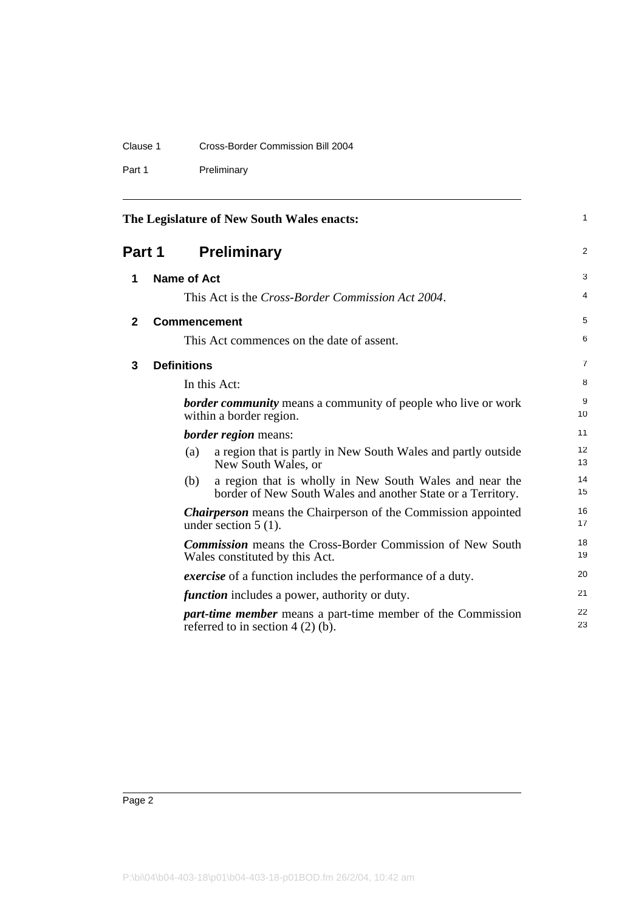| Clause 1 | Cross-Border Commission Bill 2004 |  |
|----------|-----------------------------------|--|
|          |                                   |  |

Part 1 Preliminary

<span id="page-7-3"></span><span id="page-7-2"></span><span id="page-7-1"></span><span id="page-7-0"></span>

|              | The Legislature of New South Wales enacts: |                    |                                                                                                                        | 1              |
|--------------|--------------------------------------------|--------------------|------------------------------------------------------------------------------------------------------------------------|----------------|
| Part 1       |                                            |                    | <b>Preliminary</b>                                                                                                     | $\overline{2}$ |
| 1            |                                            | Name of Act        |                                                                                                                        | 3              |
|              |                                            |                    | This Act is the <i>Cross-Border Commission Act 2004</i> .                                                              | 4              |
| $\mathbf{2}$ |                                            |                    | <b>Commencement</b>                                                                                                    | 5              |
|              |                                            |                    | This Act commences on the date of assent.                                                                              | 6              |
| 3            |                                            | <b>Definitions</b> |                                                                                                                        | $\overline{7}$ |
|              |                                            |                    | In this Act:                                                                                                           | 8              |
|              |                                            |                    | <b>border community</b> means a community of people who live or work<br>within a border region.                        | 9<br>10        |
|              |                                            |                    | <b>border region</b> means:                                                                                            | 11             |
|              |                                            | (a)                | a region that is partly in New South Wales and partly outside<br>New South Wales, or                                   | 12<br>13       |
|              |                                            | (b)                | a region that is wholly in New South Wales and near the<br>border of New South Wales and another State or a Territory. | 14<br>15       |
|              |                                            |                    | <b>Chairperson</b> means the Chairperson of the Commission appointed<br>under section $5(1)$ .                         | 16<br>17       |
|              |                                            |                    | <b>Commission</b> means the Cross-Border Commission of New South<br>Wales constituted by this Act.                     | 18<br>19       |
|              |                                            |                    | <i>exercise</i> of a function includes the performance of a duty.                                                      | 20             |
|              |                                            |                    | <i>function</i> includes a power, authority or duty.                                                                   | 21             |
|              |                                            |                    | <i>part-time member</i> means a part-time member of the Commission<br>referred to in section $4(2)(b)$ .               | 22<br>23       |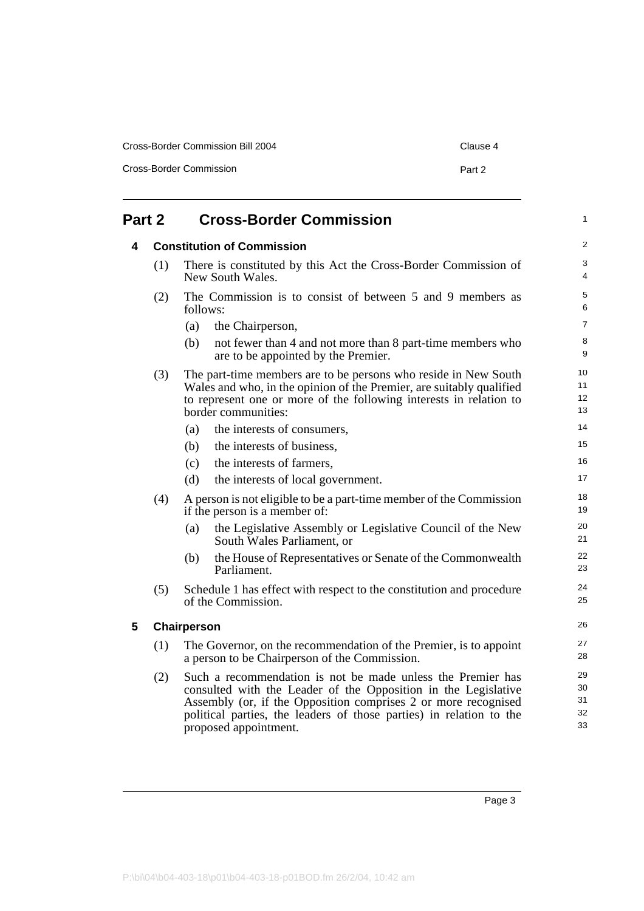| Cross-Border Commission Bill 2004 | Clause 4 |
|-----------------------------------|----------|
| Cross-Border Commission           | Part 2   |

<span id="page-8-2"></span><span id="page-8-1"></span><span id="page-8-0"></span>

| Part 2 |     | <b>Cross-Border Commission</b>                                                                                                                                                                                                                                                                  |                            |  |
|--------|-----|-------------------------------------------------------------------------------------------------------------------------------------------------------------------------------------------------------------------------------------------------------------------------------------------------|----------------------------|--|
| 4      |     | <b>Constitution of Commission</b>                                                                                                                                                                                                                                                               | 2                          |  |
|        | (1) | There is constituted by this Act the Cross-Border Commission of<br>New South Wales.                                                                                                                                                                                                             | 3<br>$\overline{4}$        |  |
|        | (2) | The Commission is to consist of between 5 and 9 members as<br>follows:                                                                                                                                                                                                                          | 5<br>6                     |  |
|        |     | (a)<br>the Chairperson,                                                                                                                                                                                                                                                                         | $\overline{7}$             |  |
|        |     | (b)<br>not fewer than 4 and not more than 8 part-time members who<br>are to be appointed by the Premier.                                                                                                                                                                                        | 8<br>9                     |  |
|        | (3) | The part-time members are to be persons who reside in New South<br>Wales and who, in the opinion of the Premier, are suitably qualified<br>to represent one or more of the following interests in relation to<br>border communities:                                                            | 10<br>11<br>12<br>13       |  |
|        |     | (a)<br>the interests of consumers,                                                                                                                                                                                                                                                              | 14                         |  |
|        |     | (b)<br>the interests of business,                                                                                                                                                                                                                                                               | 15                         |  |
|        |     | the interests of farmers,<br>(c)                                                                                                                                                                                                                                                                | 16                         |  |
|        |     | (d)<br>the interests of local government.                                                                                                                                                                                                                                                       | 17                         |  |
|        | (4) | A person is not eligible to be a part-time member of the Commission<br>if the person is a member of:                                                                                                                                                                                            | 18<br>19                   |  |
|        |     | the Legislative Assembly or Legislative Council of the New<br>(a)<br>South Wales Parliament, or                                                                                                                                                                                                 | 20<br>21                   |  |
|        |     | the House of Representatives or Senate of the Commonwealth<br>(b)<br>Parliament.                                                                                                                                                                                                                | 22<br>23                   |  |
|        | (5) | Schedule 1 has effect with respect to the constitution and procedure<br>of the Commission.                                                                                                                                                                                                      | 24<br>25                   |  |
| 5      |     | Chairperson                                                                                                                                                                                                                                                                                     | 26                         |  |
|        | (1) | The Governor, on the recommendation of the Premier, is to appoint<br>a person to be Chairperson of the Commission.                                                                                                                                                                              | 27<br>28                   |  |
|        | (2) | Such a recommendation is not be made unless the Premier has<br>consulted with the Leader of the Opposition in the Legislative<br>Assembly (or, if the Opposition comprises 2 or more recognised<br>political parties, the leaders of those parties) in relation to the<br>proposed appointment. | 29<br>30<br>31<br>32<br>33 |  |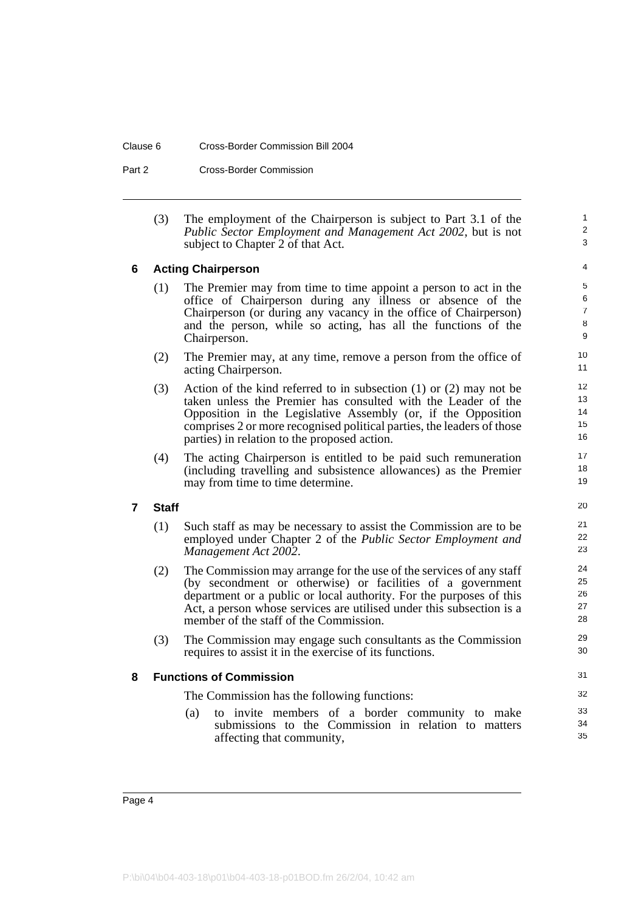#### Clause 6 Cross-Border Commission Bill 2004

Part 2 Cross-Border Commission

(3) The employment of the Chairperson is subject to Part 3.1 of the *Public Sector Employment and Management Act 2002*, but is not subject to Chapter 2 of that Act.

1  $\overline{2}$ 3

#### <span id="page-9-0"></span>**6 Acting Chairperson**

- (1) The Premier may from time to time appoint a person to act in the office of Chairperson during any illness or absence of the Chairperson (or during any vacancy in the office of Chairperson) and the person, while so acting, has all the functions of the Chairperson.
- (2) The Premier may, at any time, remove a person from the office of acting Chairperson.
- (3) Action of the kind referred to in subsection (1) or (2) may not be taken unless the Premier has consulted with the Leader of the Opposition in the Legislative Assembly (or, if the Opposition comprises 2 or more recognised political parties, the leaders of those parties) in relation to the proposed action.
- (4) The acting Chairperson is entitled to be paid such remuneration (including travelling and subsistence allowances) as the Premier may from time to time determine.

#### <span id="page-9-1"></span>**7 Staff**

- (1) Such staff as may be necessary to assist the Commission are to be employed under Chapter 2 of the *Public Sector Employment and Management Act 2002*.
- (2) The Commission may arrange for the use of the services of any staff (by secondment or otherwise) or facilities of a government department or a public or local authority. For the purposes of this Act, a person whose services are utilised under this subsection is a member of the staff of the Commission.
- (3) The Commission may engage such consultants as the Commission requires to assist it in the exercise of its functions.

#### <span id="page-9-2"></span>**8 Functions of Commission**

The Commission has the following functions:

(a) to invite members of a border community to make submissions to the Commission in relation to matters affecting that community,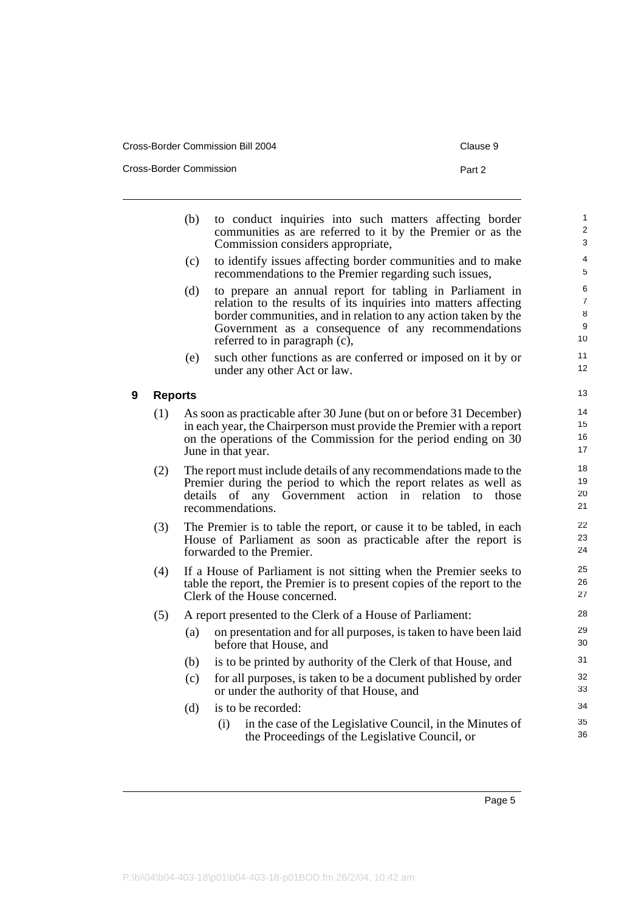| Cross-Border Commission Bill 2004 | Clause 9 |
|-----------------------------------|----------|
| Cross-Border Commission           | Part 2   |

<span id="page-10-0"></span>

|   |                | (b)                                                                                                                                                                                                                                   | to conduct inquiries into such matters affecting border                                                                                                                                                                                                                              | $\mathbf{1}$                        |  |
|---|----------------|---------------------------------------------------------------------------------------------------------------------------------------------------------------------------------------------------------------------------------------|--------------------------------------------------------------------------------------------------------------------------------------------------------------------------------------------------------------------------------------------------------------------------------------|-------------------------------------|--|
|   |                |                                                                                                                                                                                                                                       | communities as are referred to it by the Premier or as the<br>Commission considers appropriate,                                                                                                                                                                                      | $\overline{\mathbf{c}}$<br>3        |  |
|   |                | (c)                                                                                                                                                                                                                                   | to identify issues affecting border communities and to make<br>recommendations to the Premier regarding such issues,                                                                                                                                                                 | 4<br>5                              |  |
|   |                | (d)                                                                                                                                                                                                                                   | to prepare an annual report for tabling in Parliament in<br>relation to the results of its inquiries into matters affecting<br>border communities, and in relation to any action taken by the<br>Government as a consequence of any recommendations<br>referred to in paragraph (c), | 6<br>$\overline{7}$<br>8<br>9<br>10 |  |
|   |                | (e)                                                                                                                                                                                                                                   | such other functions as are conferred or imposed on it by or<br>under any other Act or law.                                                                                                                                                                                          | 11<br>12                            |  |
| 9 | <b>Reports</b> |                                                                                                                                                                                                                                       |                                                                                                                                                                                                                                                                                      | 13                                  |  |
|   | (1)            |                                                                                                                                                                                                                                       | As soon as practicable after 30 June (but on or before 31 December)<br>in each year, the Chairperson must provide the Premier with a report<br>on the operations of the Commission for the period ending on 30<br>June in that year.                                                 | 14<br>15<br>16<br>17                |  |
|   | (2)            | The report must include details of any recommendations made to the<br>Premier during the period to which the report relates as well as<br>details<br>any Government<br>action in<br>relation<br>those<br>of<br>to<br>recommendations. |                                                                                                                                                                                                                                                                                      |                                     |  |
|   | (3)            | The Premier is to table the report, or cause it to be tabled, in each<br>House of Parliament as soon as practicable after the report is<br>forwarded to the Premier.                                                                  |                                                                                                                                                                                                                                                                                      |                                     |  |
|   | (4)            |                                                                                                                                                                                                                                       | If a House of Parliament is not sitting when the Premier seeks to<br>table the report, the Premier is to present copies of the report to the<br>Clerk of the House concerned.                                                                                                        | 25<br>26<br>27                      |  |
|   | (5)            |                                                                                                                                                                                                                                       | A report presented to the Clerk of a House of Parliament:                                                                                                                                                                                                                            | 28                                  |  |
|   |                | (a)                                                                                                                                                                                                                                   | on presentation and for all purposes, is taken to have been laid<br>before that House, and                                                                                                                                                                                           | 29<br>30                            |  |
|   |                | (b)                                                                                                                                                                                                                                   | is to be printed by authority of the Clerk of that House, and                                                                                                                                                                                                                        | 31                                  |  |
|   |                | (c)                                                                                                                                                                                                                                   | for all purposes, is taken to be a document published by order<br>or under the authority of that House, and                                                                                                                                                                          | 32<br>33                            |  |
|   |                | (d)                                                                                                                                                                                                                                   | is to be recorded:                                                                                                                                                                                                                                                                   | 34                                  |  |
|   |                |                                                                                                                                                                                                                                       | (i)<br>in the case of the Legislative Council, in the Minutes of<br>the Proceedings of the Legislative Council, or                                                                                                                                                                   | 35<br>36                            |  |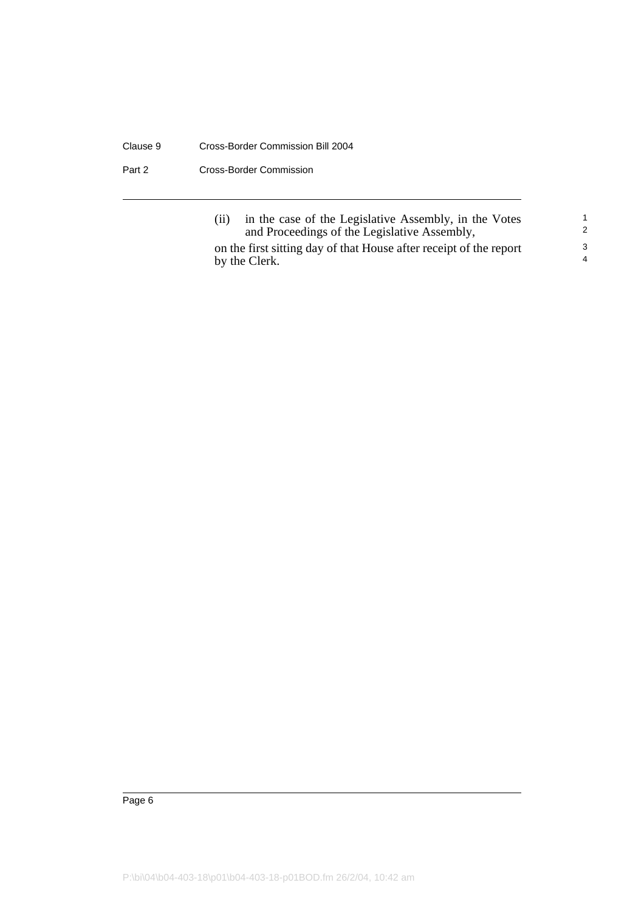#### Clause 9 Cross-Border Commission Bill 2004

Part 2 Cross-Border Commission

| (ii) | in the case of the Legislative Assembly, in the Votes<br>and Proceedings of the Legislative Assembly, |
|------|-------------------------------------------------------------------------------------------------------|
|      | on the first sitting day of that House after receipt of the report<br>by the Clerk.                   |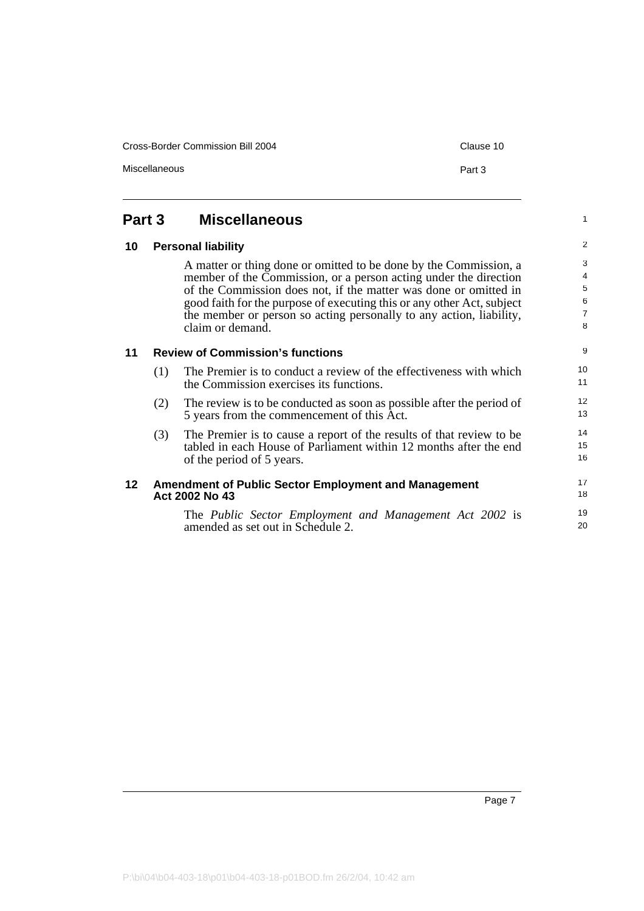<span id="page-12-3"></span><span id="page-12-2"></span><span id="page-12-1"></span><span id="page-12-0"></span>

| Part 3          |     | <b>Miscellaneous</b>                                                                                                                                                                                                                                                                                                                                                           | $\mathbf{1}$                                         |
|-----------------|-----|--------------------------------------------------------------------------------------------------------------------------------------------------------------------------------------------------------------------------------------------------------------------------------------------------------------------------------------------------------------------------------|------------------------------------------------------|
| 10              |     | <b>Personal liability</b>                                                                                                                                                                                                                                                                                                                                                      | $\overline{2}$                                       |
|                 |     | A matter or thing done or omitted to be done by the Commission, a<br>member of the Commission, or a person acting under the direction<br>of the Commission does not, if the matter was done or omitted in<br>good faith for the purpose of executing this or any other Act, subject<br>the member or person so acting personally to any action, liability,<br>claim or demand. | 3<br>$\overline{4}$<br>5<br>6<br>$\overline{7}$<br>8 |
| 11              |     | <b>Review of Commission's functions</b>                                                                                                                                                                                                                                                                                                                                        | 9                                                    |
|                 | (1) | The Premier is to conduct a review of the effectiveness with which<br>the Commission exercises its functions.                                                                                                                                                                                                                                                                  | 10<br>11                                             |
|                 | (2) | The review is to be conducted as soon as possible after the period of<br>5 years from the commencement of this Act.                                                                                                                                                                                                                                                            | 12<br>13                                             |
|                 | (3) | The Premier is to cause a report of the results of that review to be<br>tabled in each House of Parliament within 12 months after the end<br>of the period of 5 years.                                                                                                                                                                                                         | 14<br>15<br>16                                       |
| 12 <sub>2</sub> |     | <b>Amendment of Public Sector Employment and Management</b><br>Act 2002 No 43                                                                                                                                                                                                                                                                                                  | 17<br>18                                             |
|                 |     | The Public Sector Employment and Management Act 2002 is<br>amended as set out in Schedule 2.                                                                                                                                                                                                                                                                                   | 19<br>20                                             |

Cross-Border Commission Bill 2004 Cross-Border Commission Bill 2004

Miscellaneous **Part 3**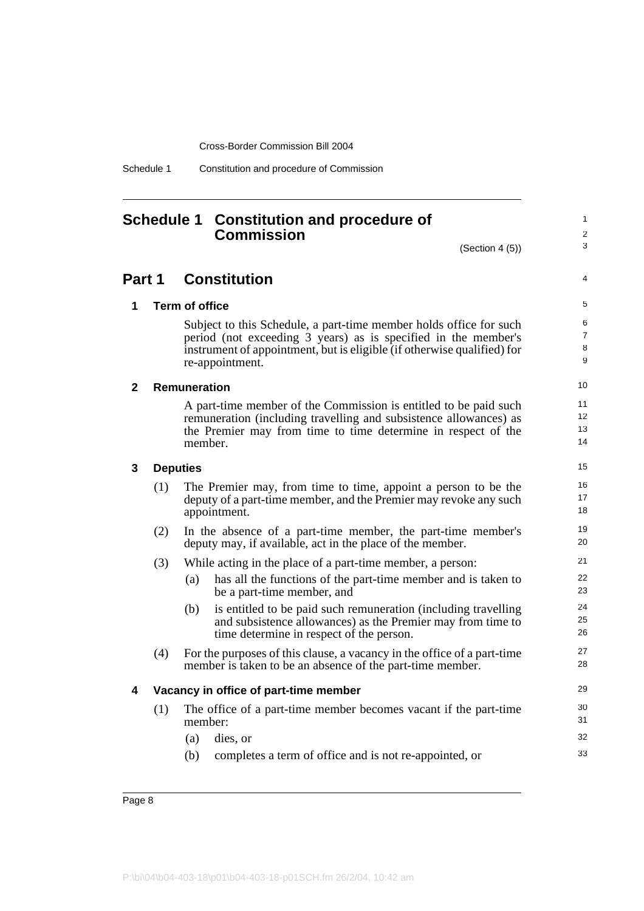Schedule 1 Constitution and procedure of Commission

## <span id="page-13-0"></span>**Schedule 1 Constitution and procedure of Commission**

(Section 4 (5))

1  $\overline{2}$ 3

4

### **Part 1 Constitution**

**1 Term of office**

Subject to this Schedule, a part-time member holds office for such period (not exceeding 3 years) as is specified in the member's instrument of appointment, but is eligible (if otherwise qualified) for re-appointment.

#### **2 Remuneration**

A part-time member of the Commission is entitled to be paid such remuneration (including travelling and subsistence allowances) as the Premier may from time to time determine in respect of the member.

#### **3 Deputies**

| (1) | The Premier may, from time to time, appoint a person to be the    |
|-----|-------------------------------------------------------------------|
|     | deputy of a part-time member, and the Premier may revoke any such |
|     | appointment.                                                      |
|     |                                                                   |

(2) In the absence of a part-time member, the part-time member's deputy may, if available, act in the place of the member.

#### (3) While acting in the place of a part-time member, a person:

- (a) has all the functions of the part-time member and is taken to be a part-time member, and
- (b) is entitled to be paid such remuneration (including travelling and subsistence allowances) as the Premier may from time to time determine in respect of the person.
- (4) For the purposes of this clause, a vacancy in the office of a part-time member is taken to be an absence of the part-time member.

#### **4 Vacancy in office of part-time member**

- (1) The office of a part-time member becomes vacant if the part-time member:
	- (a) dies, or (b) completes a term of office and is not re-appointed, or
- Page 8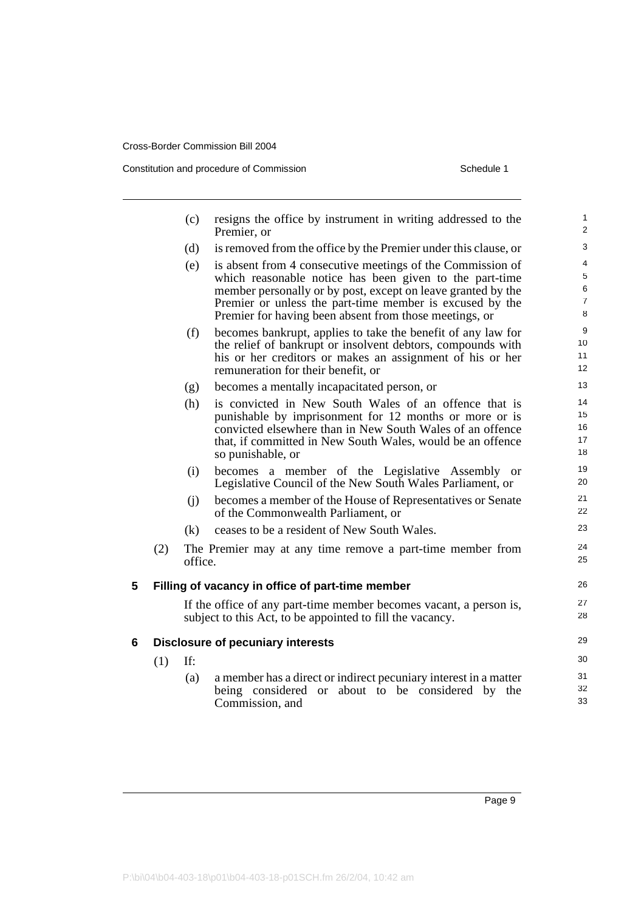Constitution and procedure of Commission Schedule 1

|   |     | (c)     | resigns the office by instrument in writing addressed to the<br>Premier, or                                                                                                                                                                                                                                 | $\mathbf{1}$<br>$\overline{2}$     |
|---|-----|---------|-------------------------------------------------------------------------------------------------------------------------------------------------------------------------------------------------------------------------------------------------------------------------------------------------------------|------------------------------------|
|   |     | (d)     | is removed from the office by the Premier under this clause, or                                                                                                                                                                                                                                             | 3                                  |
|   |     | (e)     | is absent from 4 consecutive meetings of the Commission of<br>which reasonable notice has been given to the part-time<br>member personally or by post, except on leave granted by the<br>Premier or unless the part-time member is excused by the<br>Premier for having been absent from those meetings, or | 4<br>5<br>6<br>$\overline{7}$<br>8 |
|   |     | (f)     | becomes bankrupt, applies to take the benefit of any law for<br>the relief of bankrupt or insolvent debtors, compounds with<br>his or her creditors or makes an assignment of his or her<br>remuneration for their benefit, or                                                                              | 9<br>10<br>11<br>12                |
|   |     | (g)     | becomes a mentally incapacitated person, or                                                                                                                                                                                                                                                                 | 13                                 |
|   |     | (h)     | is convicted in New South Wales of an offence that is<br>punishable by imprisonment for 12 months or more or is<br>convicted elsewhere than in New South Wales of an offence<br>that, if committed in New South Wales, would be an offence<br>so punishable, or                                             | 14<br>15<br>16<br>17<br>18         |
|   |     | (i)     | becomes a member of the Legislative Assembly or<br>Legislative Council of the New South Wales Parliament, or                                                                                                                                                                                                | 19<br>20                           |
|   |     | (i)     | becomes a member of the House of Representatives or Senate<br>of the Commonwealth Parliament, or                                                                                                                                                                                                            | 21<br>22                           |
|   |     | (k)     | ceases to be a resident of New South Wales.                                                                                                                                                                                                                                                                 | 23                                 |
|   | (2) | office. | The Premier may at any time remove a part-time member from                                                                                                                                                                                                                                                  | 24<br>25                           |
| 5 |     |         | Filling of vacancy in office of part-time member                                                                                                                                                                                                                                                            | 26                                 |
|   |     |         | If the office of any part-time member becomes vacant, a person is,<br>subject to this Act, to be appointed to fill the vacancy.                                                                                                                                                                             | 27<br>28                           |
| 6 |     |         | <b>Disclosure of pecuniary interests</b>                                                                                                                                                                                                                                                                    | 29                                 |
|   | (1) | If:     |                                                                                                                                                                                                                                                                                                             | 30                                 |
|   |     | (a)     | a member has a direct or indirect pecuniary interest in a matter<br>being considered or about to be considered by the<br>Commission, and                                                                                                                                                                    | 31<br>32<br>33                     |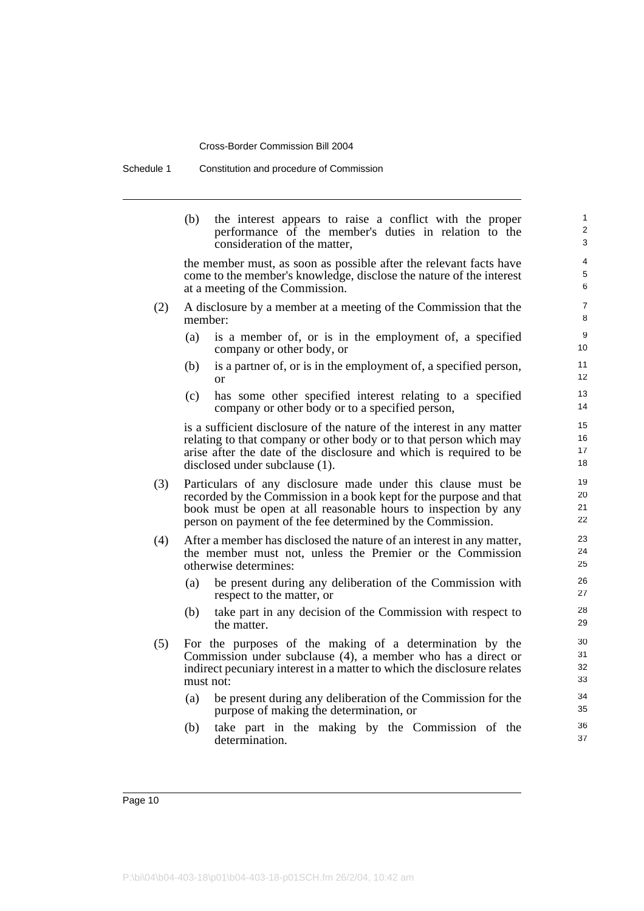Schedule 1 Constitution and procedure of Commission

(b) the interest appears to raise a conflict with the proper performance of the member's duties in relation to the consideration of the matter,

the member must, as soon as possible after the relevant facts have come to the member's knowledge, disclose the nature of the interest at a meeting of the Commission.

- (2) A disclosure by a member at a meeting of the Commission that the member:
	- (a) is a member of, or is in the employment of, a specified company or other body, or
	- (b) is a partner of, or is in the employment of, a specified person, or
	- (c) has some other specified interest relating to a specified company or other body or to a specified person,

is a sufficient disclosure of the nature of the interest in any matter relating to that company or other body or to that person which may arise after the date of the disclosure and which is required to be disclosed under subclause (1).

- (3) Particulars of any disclosure made under this clause must be recorded by the Commission in a book kept for the purpose and that book must be open at all reasonable hours to inspection by any person on payment of the fee determined by the Commission.
- (4) After a member has disclosed the nature of an interest in any matter, the member must not, unless the Premier or the Commission otherwise determines:
	- (a) be present during any deliberation of the Commission with respect to the matter, or
	- (b) take part in any decision of the Commission with respect to the matter.
- (5) For the purposes of the making of a determination by the Commission under subclause (4), a member who has a direct or indirect pecuniary interest in a matter to which the disclosure relates must not:
	- (a) be present during any deliberation of the Commission for the purpose of making the determination, or
	- (b) take part in the making by the Commission of the determination.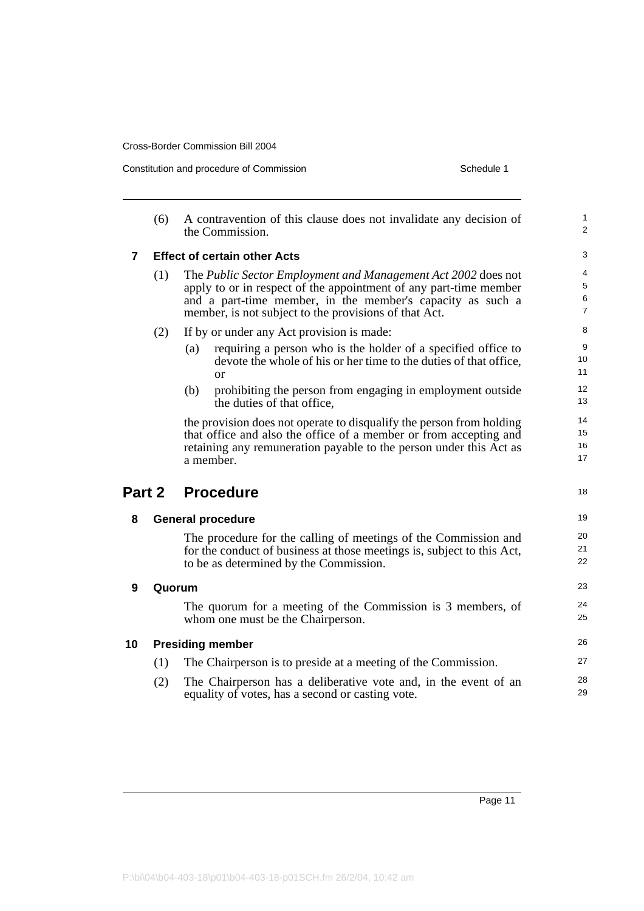Constitution and procedure of Commission Schedule 1

|                | (6)    | A contravention of this clause does not invalidate any decision of<br>the Commission.                                                                                                                                                                     | 1<br>$\overline{c}$           |
|----------------|--------|-----------------------------------------------------------------------------------------------------------------------------------------------------------------------------------------------------------------------------------------------------------|-------------------------------|
| $\overline{7}$ |        | <b>Effect of certain other Acts</b>                                                                                                                                                                                                                       | 3                             |
|                | (1)    | The Public Sector Employment and Management Act 2002 does not<br>apply to or in respect of the appointment of any part-time member<br>and a part-time member, in the member's capacity as such a<br>member, is not subject to the provisions of that Act. | 4<br>5<br>6<br>$\overline{7}$ |
|                | (2)    | If by or under any Act provision is made:                                                                                                                                                                                                                 | 8                             |
|                |        | requiring a person who is the holder of a specified office to<br>(a)<br>devote the whole of his or her time to the duties of that office,<br>or                                                                                                           | 9<br>10<br>11                 |
|                |        | prohibiting the person from engaging in employment outside<br>(b)<br>the duties of that office,                                                                                                                                                           | 12<br>13                      |
|                |        | the provision does not operate to disqualify the person from holding<br>that office and also the office of a member or from accepting and<br>retaining any remuneration payable to the person under this Act as<br>a member.                              | 14<br>15<br>16<br>17          |
| Part 2         |        | <b>Procedure</b>                                                                                                                                                                                                                                          | 18                            |
| 8              |        | <b>General procedure</b>                                                                                                                                                                                                                                  | 19                            |
|                |        | The procedure for the calling of meetings of the Commission and<br>for the conduct of business at those meetings is, subject to this Act,<br>to be as determined by the Commission.                                                                       | 20<br>21<br>22                |
| 9              | Quorum |                                                                                                                                                                                                                                                           | 23                            |
|                |        | The quorum for a meeting of the Commission is 3 members, of<br>whom one must be the Chairperson.                                                                                                                                                          | 24<br>25                      |
| 10             |        | <b>Presiding member</b>                                                                                                                                                                                                                                   | 26                            |
|                | (1)    | The Chairperson is to preside at a meeting of the Commission.                                                                                                                                                                                             | 27                            |
|                | (2)    | The Chairperson has a deliberative vote and, in the event of an<br>equality of votes, has a second or casting vote.                                                                                                                                       | 28<br>29                      |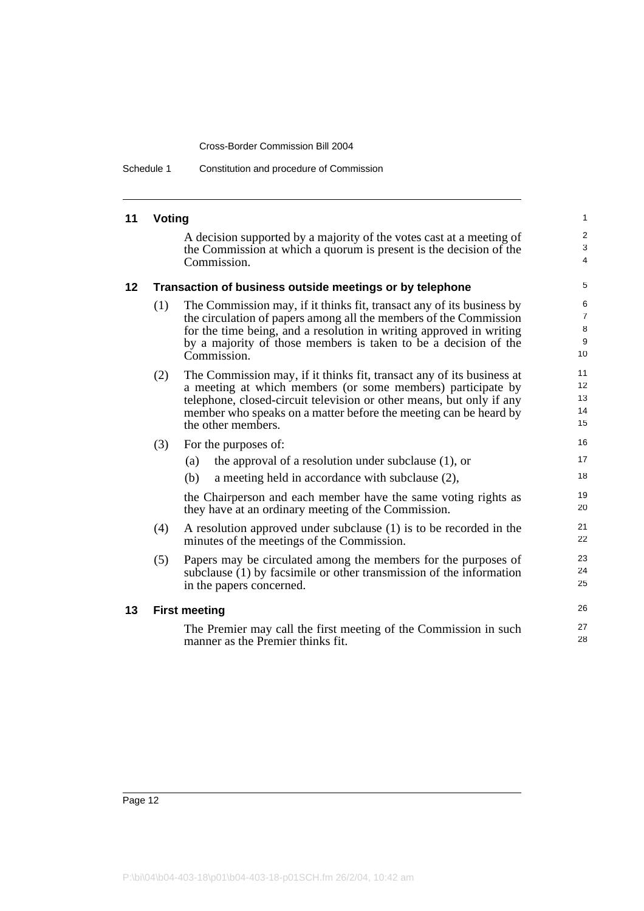Schedule 1 Constitution and procedure of Commission

#### **11 Voting**

A decision supported by a majority of the votes cast at a meeting of the Commission at which a quorum is present is the decision of the Commission.

26 27 28

#### **12 Transaction of business outside meetings or by telephone**

- (1) The Commission may, if it thinks fit, transact any of its business by the circulation of papers among all the members of the Commission for the time being, and a resolution in writing approved in writing by a majority of those members is taken to be a decision of the Commission.
- (2) The Commission may, if it thinks fit, transact any of its business at a meeting at which members (or some members) participate by telephone, closed-circuit television or other means, but only if any member who speaks on a matter before the meeting can be heard by the other members.
- (3) For the purposes of:
	- (a) the approval of a resolution under subclause (1), or
	- (b) a meeting held in accordance with subclause (2),

the Chairperson and each member have the same voting rights as they have at an ordinary meeting of the Commission.

- (4) A resolution approved under subclause (1) is to be recorded in the minutes of the meetings of the Commission.
- (5) Papers may be circulated among the members for the purposes of subclause (1) by facsimile or other transmission of the information in the papers concerned.

#### **13 First meeting**

The Premier may call the first meeting of the Commission in such manner as the Premier thinks fit.